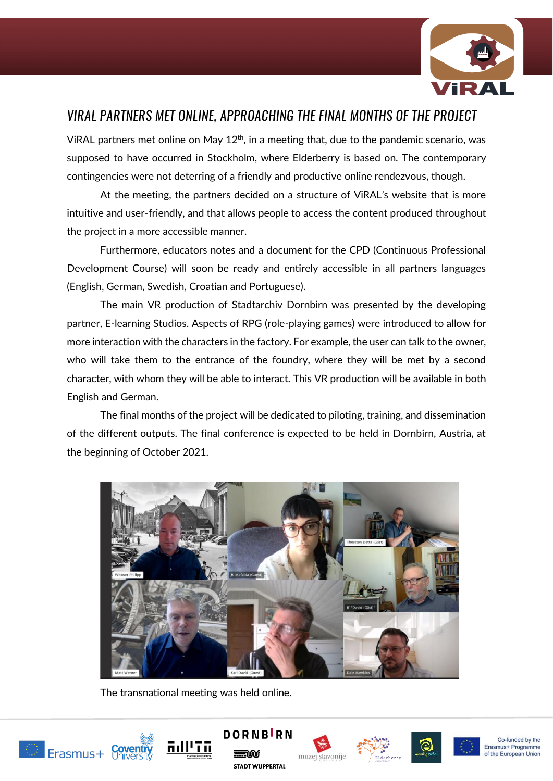

## VIRAL PARTNERS MET ONLINE, APPROACHING THE FINAL MONTHS OF THE PROJECT

VIRAL partners met online on May  $12<sup>th</sup>$ , in a meeting that, due to the pandemic scenario, was supposed to have occurred in Stockholm, where Elderberry is based on. The contemporary contingencies were not deterring of a friendly and productive online rendezvous, though.

At the meeting, the partners decided on a structure of ViRAL's website that is more intuitive and user-friendly, and that allows people to access the content produced throughout the project in a more accessible manner.

Furthermore, educators notes and a document for the CPD (Continuous Professional Development Course) will soon be ready and entirely accessible in all partners languages (English, German, Swedish, Croatian and Portuguese).

The main VR production of Stadtarchiv Dornbirn was presented by the developing partner, E-learning Studios. Aspects of RPG (role-playing games) were introduced to allow for more interaction with the characters in the factory. For example, the user can talk to the owner, who will take them to the entrance of the foundry, where they will be met by a second character, with whom they will be able to interact. This VR production will be available in both English and German.

The final months of the project will be dedicated to piloting, training, and dissemination of the different outputs. The final conference is expected to be held in Dornbirn, Austria, at the beginning of October 2021.



The transnational meeting was held online.















Co-funded by the Erasmus+ Programme of the European Union